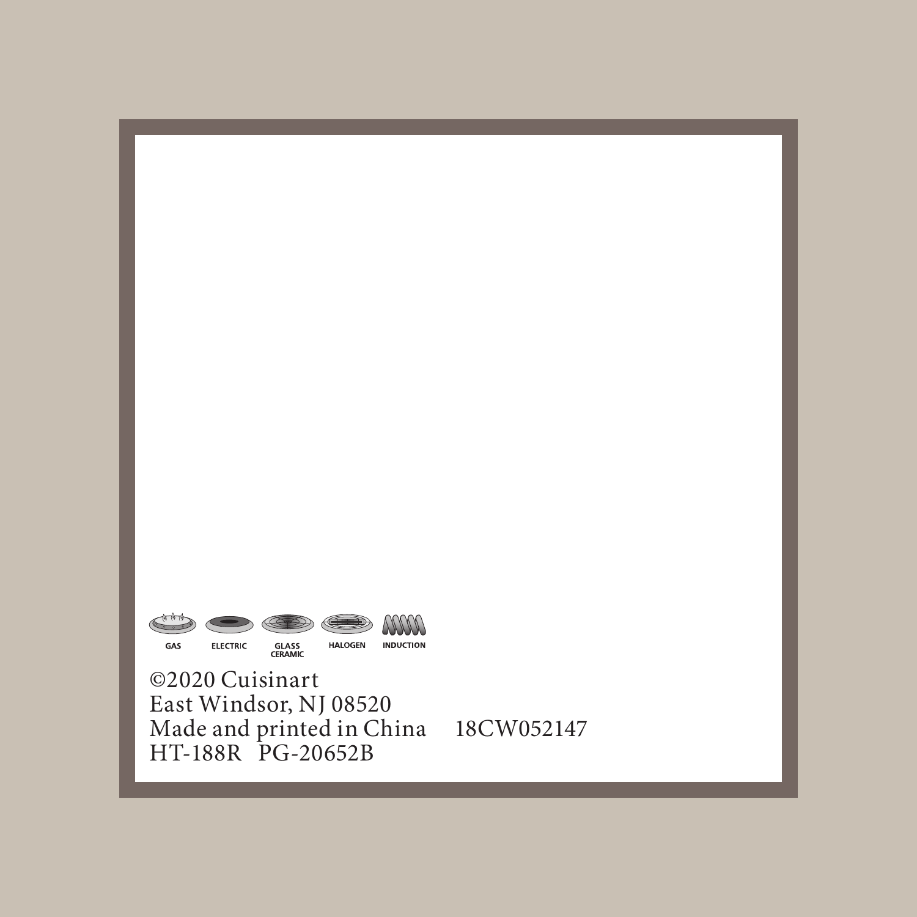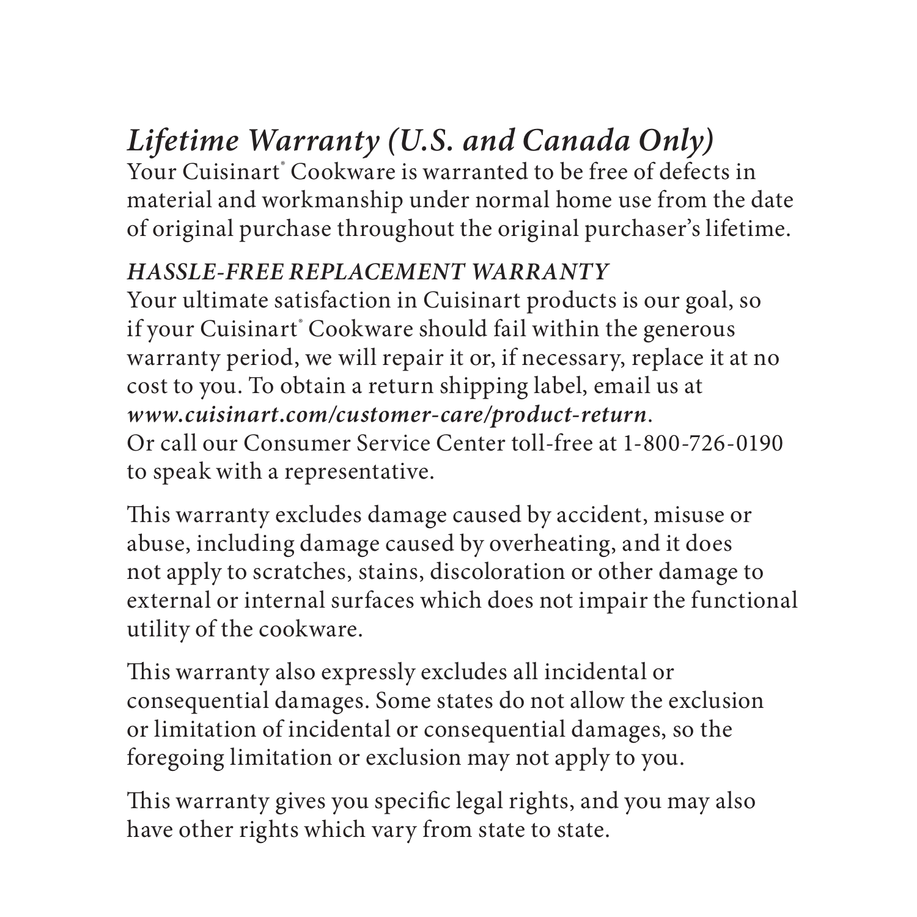### *Lifetime Warranty (U.S. and Canada Only)*

Your Cuisinart® Cookware is warranted to be free of defects in material and workmanship under normal home use from the date of original purchase throughout the original purchaser's lifetime.

#### *HASSLE-FREE REPLACEMENT WARRANTY*

Your ultimate satisfaction in Cuisinart products is our goal, so if your Cuisinart' Cookware should fail within the generous warranty period, we will repair it or, if necessary, replace it at no cost to you. To obtain a return shipping label, email us at *www.cuisinart.com/customer-care/product-return*. Or call our Consumer Service Center toll-free at 1-800-726-0190 to speak with a representative.

This warranty excludes damage caused by accident, misuse or abuse, including damage caused by overheating, and it does not apply to scratches, stains, discoloration or other damage to external or internal surfaces which does not impair the functional utility of the cookware.

This warranty also expressly excludes all incidental or consequential damages. Some states do not allow the exclusion or limitation of incidental or consequential damages, so the foregoing limitation or exclusion may not apply to you.

This warranty gives you specific legal rights, and you may also have other rights which vary from state to state.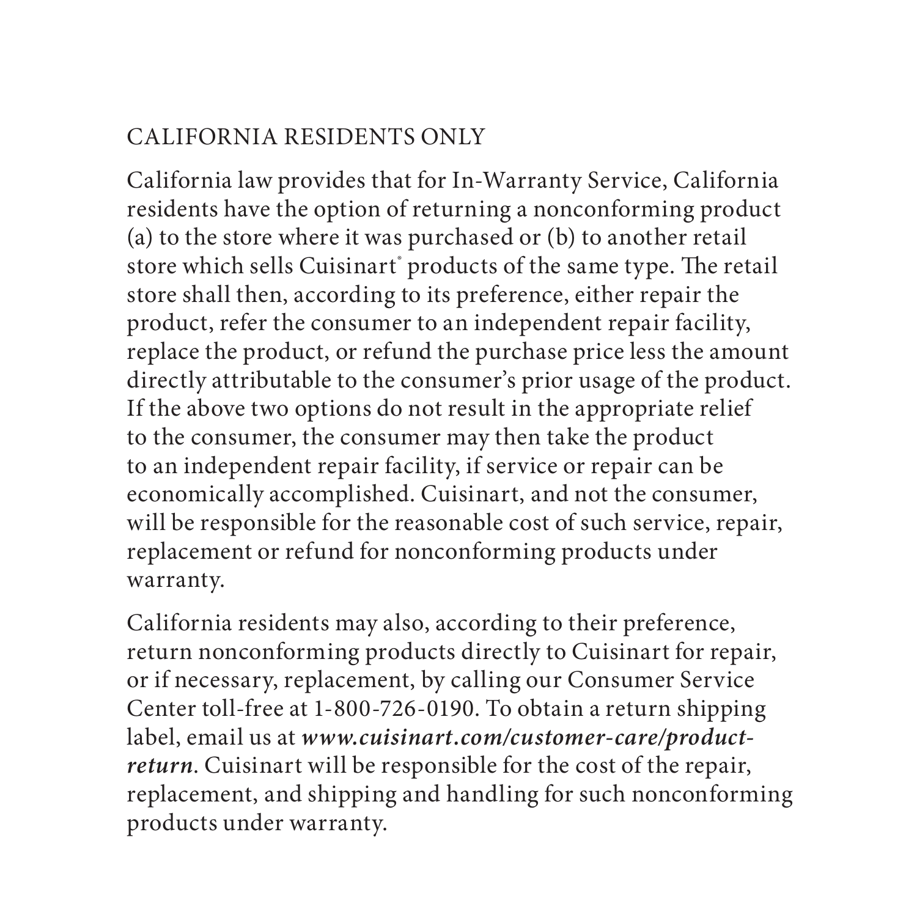#### CALIFORNIA RESIDENTS ONLY

California law provides that for In-Warranty Service, California residents have the option of returning a nonconforming product (a) to the store where it was purchased or (b) to another retail store which sells Cuisinart' products of the same type. The retail store shall then, according to its preference, either repair the product, refer the consumer to an independent repair facility, replace the product, or refund the purchase price less the amount directly attributable to the consumer's prior usage of the product. If the above two options do not result in the appropriate relief to the consumer, the consumer may then take the product to an independent repair facility, if service or repair can be economically accomplished. Cuisinart, and not the consumer, will be responsible for the reasonable cost of such service, repair, replacement or refund for nonconforming products under warranty.

California residents may also, according to their preference, return nonconforming products directly to Cuisinart for repair, or if necessary, replacement, by calling our Consumer Service Center toll-free at 1-800-726-0190. To obtain a return shipping label, email us at *www.cuisinart.com/customer-care/productreturn*. Cuisinart will be responsible for the cost of the repair, replacement, and shipping and handling for such nonconforming products under warranty.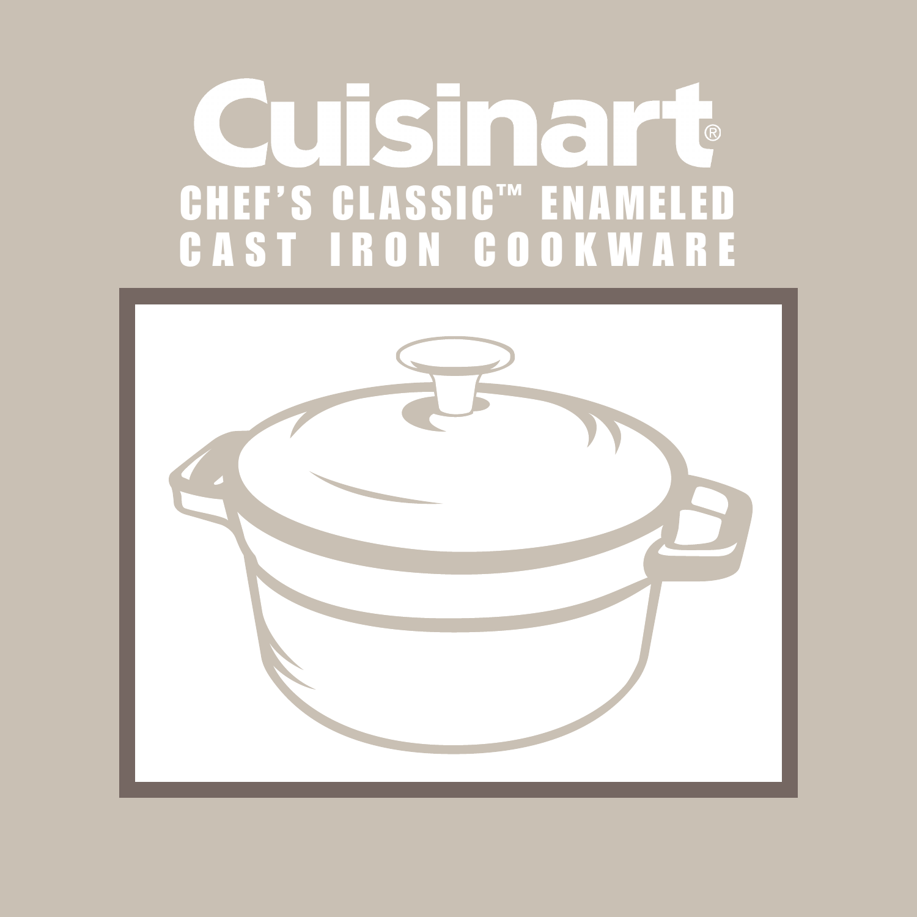# uisinart CHEF'S CLASSIC™ ENAMELED CAST IRON COOKWARE

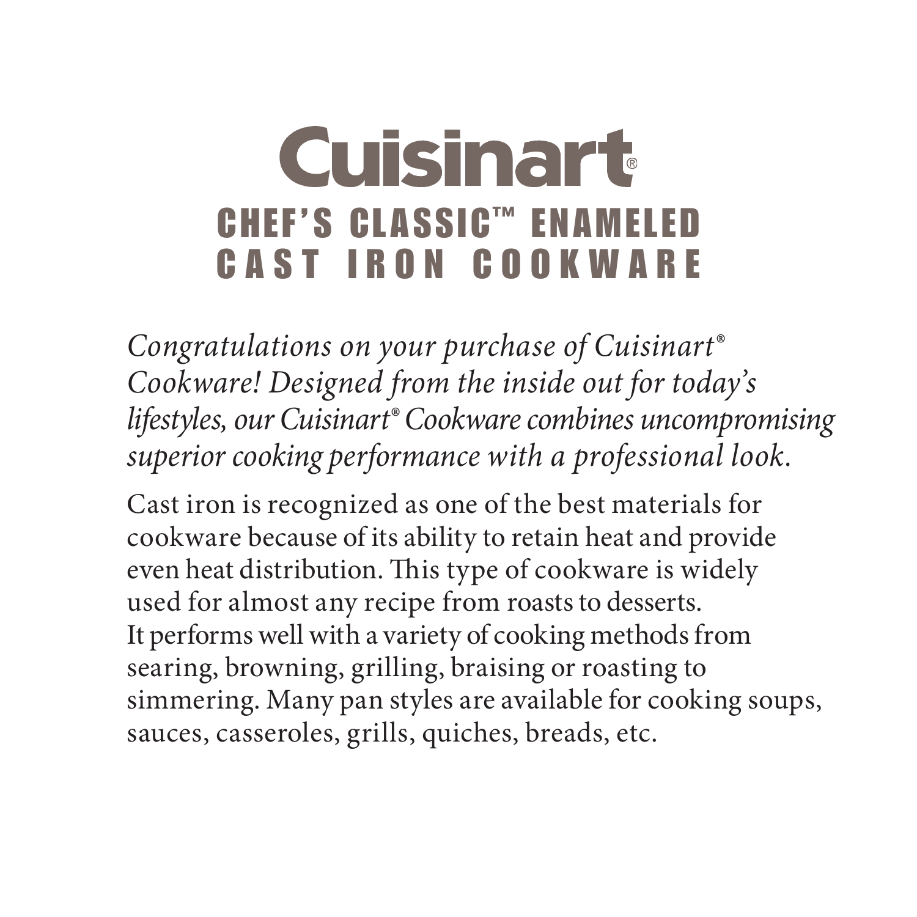## **Cuisinart** CHEF'S CLASSIC™ ENAMELED CAST IRON COOKWARE

*Congratulations on your purchase of Cuisinart® Cookware! Designed from the inside out for today's lifestyles, our Cuisinart® Cookware combines uncompromising superior cooking performance with a professional look.* 

Cast iron is recognized as one of the best materials for cookware because of its ability to retain heat and provide even heat distribution. This type of cookware is widely used for almost any recipe from roasts to desserts. It performs well with a variety of cooking methods from searing, browning, grilling, braising or roasting to simmering. Many pan styles are available for cooking soups, sauces, casseroles, grills, quiches, breads, etc.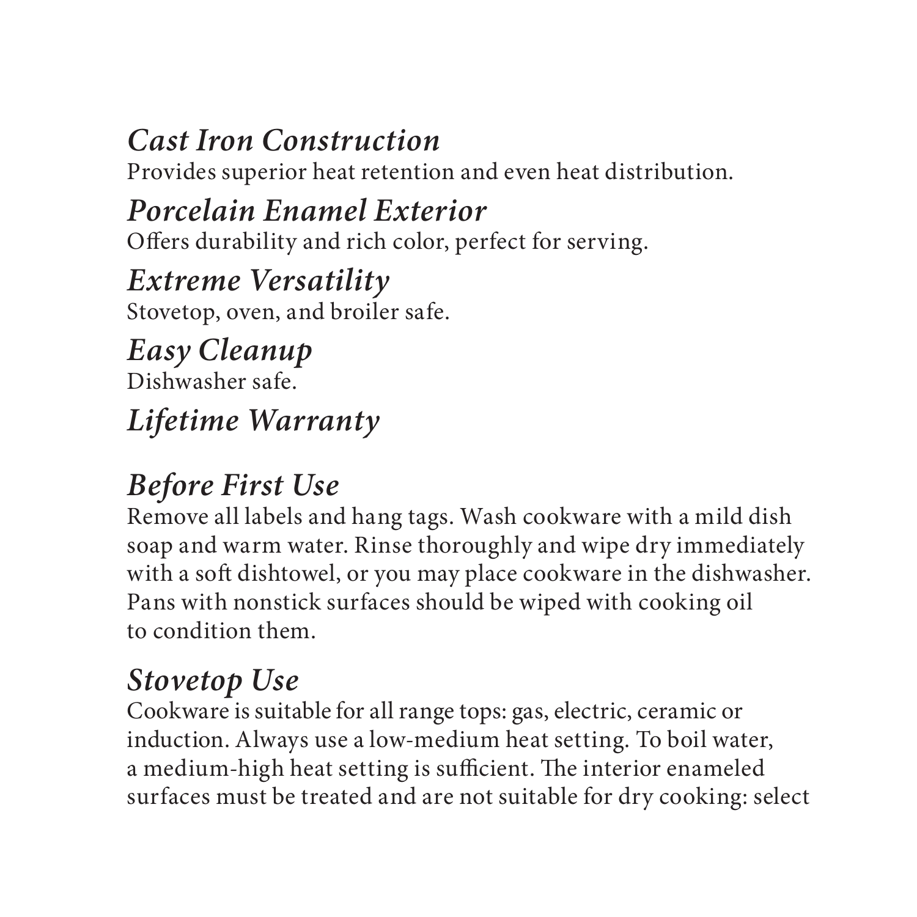#### *Cast Iron Construction*

Provides superior heat retention and even heat distribution.

#### *Porcelain Enamel Exterior*  Offers durability and rich color, perfect for serving.

#### *Extreme Versatility* Stovetop, oven, and broiler safe.

*Easy Cleanup* Dishwasher safe.

## *Lifetime Warranty*

## *Before First Use*

Remove all labels and hang tags. Wash cookware with a mild dish soap and warm water. Rinse thoroughly and wipe dry immediately with a soft dishtowel, or you may place cookware in the dishwasher. Pans with nonstick surfaces should be wiped with cooking oil to condition them.

#### *Stovetop Use*

Cookware is suitable for all range tops: gas, electric, ceramic or induction. Always use a low-medium heat setting. To boil water, a medium-high heat setting is sufficient. The interior enameled surfaces must be treated and are not suitable for dry cooking: select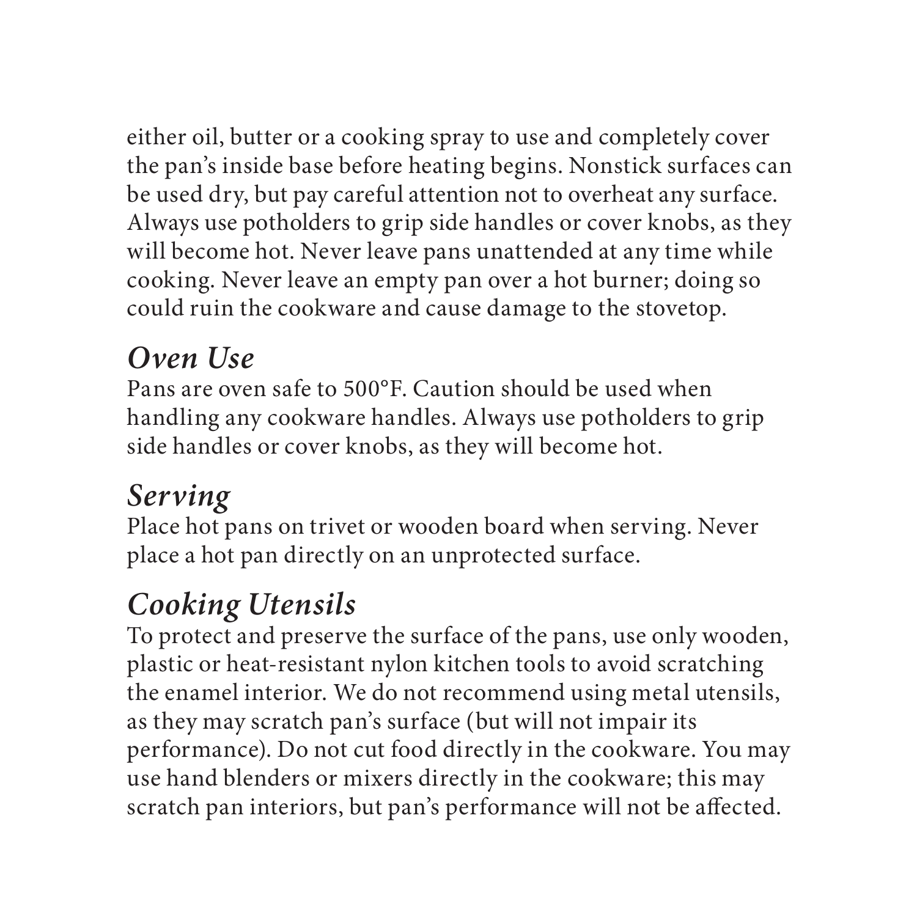either oil, butter or a cooking spray to use and completely cover the pan's inside base before heating begins. Nonstick surfaces can be used dry, but pay careful attention not to overheat any surface. Always use potholders to grip side handles or cover knobs, as they will become hot. Never leave pans unattended at any time while cooking. Never leave an empty pan over a hot burner; doing so could ruin the cookware and cause damage to the stovetop.

#### *Oven Use*

Pans are oven safe to 500°F. Caution should be used when handling any cookware handles. Always use potholders to grip side handles or cover knobs, as they will become hot.

#### *Serving*

Place hot pans on trivet or wooden board when serving. Never place a hot pan directly on an unprotected surface.

#### *Cooking Utensils*

To protect and preserve the surface of the pans, use only wooden, plastic or heat-resistant nylon kitchen tools to avoid scratching the enamel interior. We do not recommend using metal utensils, as they may scratch pan's surface (but will not impair its performance). Do not cut food directly in the cookware. You may use hand blenders or mixers directly in the cookware; this may scratch pan interiors, but pan's performance will not be affected.